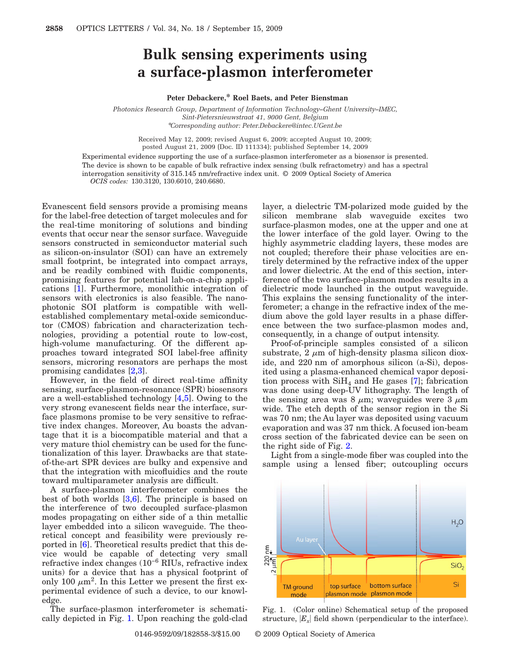## **Bulk sensing experiments using a surface-plasmon interferometer**

## **Peter Debackere,\* Roel Baets, and Peter Bienstman**

*Photonics Research Group, Department of Information Technology–Ghent University–IMEC, Sint-Pietersnieuwstraat 41, 9000 Gent, Belgium* \**Corresponding author: Peter.Debackere@intec.UGent.be*

Received May 12, 2009; revised August 6, 2009; accepted August 10, 2009; posted August 21, 2009 (Doc. ID 111334); published September 14, 2009

Experimental evidence supporting the use of a surface-plasmon interferometer as a biosensor is presented. The device is shown to be capable of bulk refractive index sensing (bulk refractometry) and has a spectral interrogation sensitivity of 315.145 nm/refractive index unit. © 2009 Optical Society of America *OCIS codes:* 130.3120, 130.6010, 240.6680.

Evanescent field sensors provide a promising means for the label-free detection of target molecules and for the real-time monitoring of solutions and binding events that occur near the sensor surface. Waveguide sensors constructed in semiconductor material such as silicon-on-insulator (SOI) can have an extremely small footprint, be integrated into compact arrays, and be readily combined with fluidic components, promising features for potential lab-on-a-chip applications [\[1\]](#page-2-0). Furthermore, monolithic integration of sensors with electronics is also feasible. The nanophotonic SOI platform is compatible with wellestablished complementary metal-oxide semiconductor (CMOS) fabrication and characterization technologies, providing a potential route to low-cost, high-volume manufacturing. Of the different approaches toward integrated SOI label-free affinity sensors, microring resonators are perhaps the most promising candidates [\[2](#page-2-1)[,3\]](#page-2-2).

However, in the field of direct real-time affinity sensing, surface-plasmon-resonance (SPR) biosensors are a well-established technology [\[4,](#page-2-3)[5\]](#page-2-4). Owing to the very strong evanescent fields near the interface, surface plasmons promise to be very sensitive to refractive index changes. Moreover, Au boasts the advantage that it is a biocompatible material and that a very mature thiol chemistry can be used for the functionalization of this layer. Drawbacks are that stateof-the-art SPR devices are bulky and expensive and that the integration with micofluidics and the route toward multiparameter analysis are difficult.

A surface-plasmon interferometer combines the best of both worlds [\[3](#page-2-2)[,6\]](#page-2-5). The principle is based on the interference of two decoupled surface-plasmon modes propagating on either side of a thin metallic layer embedded into a silicon waveguide. The theoretical concept and feasibility were previously reported in [\[6\]](#page-2-5). Theoretical results predict that this device would be capable of detecting very small refractive index changes (10−6 RIUs, refractive index units) for a device that has a physical footprint of only 100  $\mu$ m<sup>2</sup>. In this Letter we present the first experimental evidence of such a device, to our knowledge.

The surface-plasmon interferometer is schematically depicted in Fig. [1.](#page-0-0) Upon reaching the gold-clad layer, a dielectric TM-polarized mode guided by the silicon membrane slab waveguide excites two surface-plasmon modes, one at the upper and one at the lower interface of the gold layer. Owing to the highly asymmetric cladding layers, these modes are not coupled; therefore their phase velocities are entirely determined by the refractive index of the upper and lower dielectric. At the end of this section, interference of the two surface-plasmon modes results in a dielectric mode launched in the output waveguide. This explains the sensing functionality of the interferometer; a change in the refractive index of the medium above the gold layer results in a phase difference between the two surface-plasmon modes and, consequently, in a change of output intensity.

Proof-of-principle samples consisted of a silicon substrate,  $2 \mu m$  of high-density plasma silicon dioxide, and 220 nm of amorphous silicon (a-Si), deposited using a plasma-enhanced chemical vapor deposition process with  $\text{SiH}_4$  and He gases [\[7\]](#page-2-6); fabrication was done using deep-UV lithography. The length of the sensing area was  $8 \mu m$ ; waveguides were  $3 \mu m$ wide. The etch depth of the sensor region in the Si was 70 nm; the Au layer was deposited using vacuum evaporation and was 37 nm thick. A focused ion-beam cross section of the fabricated device can be seen on the right side of Fig. [2.](#page-1-0)

Light from a single-mode fiber was coupled into the sample using a lensed fiber; outcoupling occurs

<span id="page-0-0"></span>

Fig. 1. (Color online) Schematical setup of the proposed structure,  $|E_x|$  field shown (perpendicular to the interface).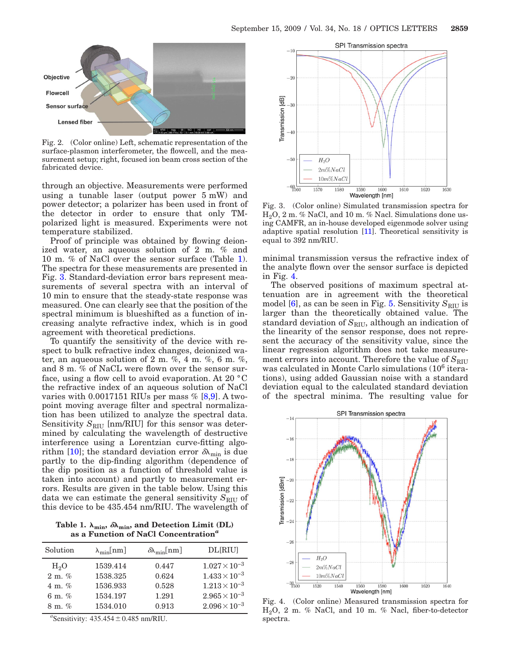<span id="page-1-0"></span>

Fig. 2. (Color online) Left, schematic representation of the surface-plasmon interferometer, the flowcell, and the measurement setup; right, focused ion beam cross section of the fabricated device.

through an objective. Measurements were performed using a tunable laser (output power 5 mW) and power detector; a polarizer has been used in front of the detector in order to ensure that only TMpolarized light is measured. Experiments were not temperature stabilized.

Proof of principle was obtained by flowing deionized water, an aqueous solution of 2 m. % and 10 m. % of NaCl over the sensor surface (Table [1\)](#page-1-1). The spectra for these measurements are presented in Fig. [3.](#page-1-2) Standard-deviation error bars represent measurements of several spectra with an interval of 10 min to ensure that the steady-state response was measured. One can clearly see that the position of the spectral minimum is blueshifted as a function of increasing analyte refractive index, which is in good agreement with theoretical predictions.

To quantify the sensitivity of the device with respect to bulk refractive index changes, deionized water, an aqueous solution of 2 m.  $\%$ , 4 m.  $\%$ , 6 m.  $\%$ , and 8 m. % of NaCL were flown over the sensor surface, using a flow cell to avoid evaporation. At 20 °C the refractive index of an aqueous solution of NaCl varies with  $0.0017151$  RIUs per mass  $\%$  [\[8](#page-2-7)[,9\]](#page-2-8). A twopoint moving average filter and spectral normalization has been utilized to analyze the spectral data. Sensitivity  $S_{\text{RIU}}$  [nm/RIU] for this sensor was determined by calculating the wavelength of destructive interference using a Lorentzian curve-fitting algo-rithm [\[10\]](#page-2-9); the standard deviation error  $\delta\lambda_{\rm min}$  is due partly to the dip-finding algorithm (dependence of the dip position as a function of threshold value is taken into account) and partly to measurement errors. Results are given in the table below. Using this data we can estimate the general sensitivity  $S_{\text{RIU}}$  of this device to be 435.454 nm/RIU. The wavelength of

<span id="page-1-1"></span>Table 1. λ<sub>min</sub>, *δ*λ<sub>min</sub>, and Detection Limit (DL) **as a Function of NaCl Concentration***<sup>a</sup>*

| Solution          | $\lambda_{\min}$ [nm] | $\delta\lambda_{\min}$ [nm] | <b>DL</b> [RIU]        |
|-------------------|-----------------------|-----------------------------|------------------------|
| H <sub>2</sub> O  | 1539.414              | 0.447                       | $1.027 \times 10^{-3}$ |
| $2 \text{ m}$ . % | 1538.325              | 0.624                       | $1.433 \times 10^{-3}$ |
| 4 m. $\%$         | 1536.933              | 0.528                       | $1.213 \times 10^{-3}$ |
| 6 m. $\%$         | 1534.197              | 1.291                       | $2.965 \times 10^{-3}$ |
| $8 \text{ m}$ %   | 1534.010              | 0.913                       | $2.096 \times 10^{-3}$ |

<sup>a</sup>Sensitivity:  $435.454 \pm 0.485$  nm/RIU.

<span id="page-1-2"></span>

Fig. 3. (Color online) Simulated transmission spectra for  $H<sub>2</sub>O$ , 2 m. % NaCl, and 10 m. % Nacl. Simulations done using CAMFR, an in-house developed eigenmode solver using adaptive spatial resolution [\[11\]](#page-2-11). Theoretical sensitivity is equal to 392 nm/RIU.

minimal transmission versus the refractive index of the analyte flown over the sensor surface is depicted in Fig. [4.](#page-1-3)

The observed positions of maximum spectral attenuation are in agreement with the theoretical model  $[6]$ , as can be seen in Fig. [5.](#page-2-10) Sensitivity  $S_{\text{RIU}}$  is larger than the theoretically obtained value. The standard deviation of  $S_{\text{RIU}}$ , although an indication of the linearity of the sensor response, does not represent the accuracy of the sensitivity value, since the linear regression algorithm does not take measurement errors into account. Therefore the value of  $S_{\text{RIU}}$ was calculated in Monte Carlo simulations (10<sup>6</sup> iterations), using added Gaussian noise with a standard deviation equal to the calculated standard deviation of the spectral minima. The resulting value for

<span id="page-1-3"></span>

Fig. 4. (Color online) Measured transmission spectra for H2O, 2 m. % NaCl, and 10 m. % Nacl, fiber-to-detector spectra.